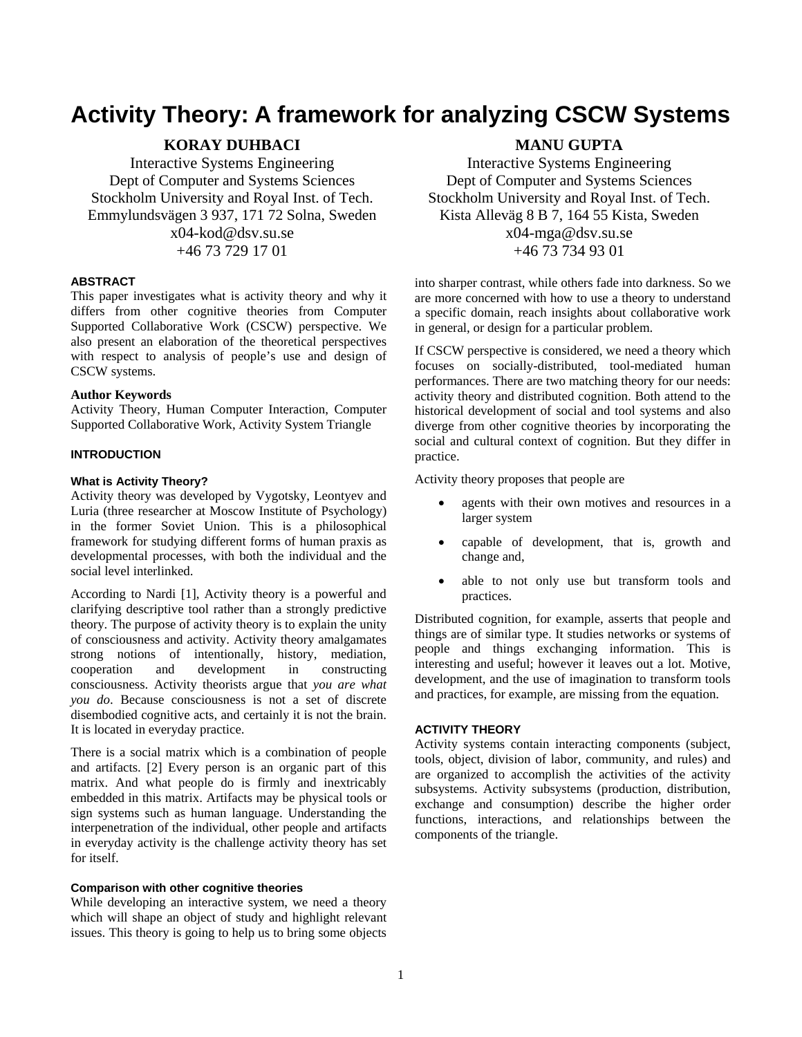# **Activity Theory: A framework for analyzing CSCW Systems**

# **KORAY DUHBACI**

Interactive Systems Engineering Dept of Computer and Systems Sciences Stockholm University and Royal Inst. of Tech. Emmylundsvägen 3 937, 171 72 Solna, Sweden

> x04-kod@dsv.su.se +46 73 729 17 01

## **ABSTRACT**

This paper investigates what is activity theory and why it differs from other cognitive theories from Computer Supported Collaborative Work (CSCW) perspective. We also present an elaboration of the theoretical perspectives with respect to analysis of people's use and design of CSCW systems.

### **Author Keywords**

Activity Theory, Human Computer Interaction, Computer Supported Collaborative Work, Activity System Triangle

## **INTRODUCTION**

## **What is Activity Theory?**

Activity theory was developed by Vygotsky, Leontyev and Luria (three researcher at Moscow Institute of Psychology) in the former Soviet Union. This is a philosophical framework for studying different forms of human praxis as developmental processes, with both the individual and the social level interlinked.

According to Nardi [1], Activity theory is a powerful and clarifying descriptive tool rather than a strongly predictive theory. The purpose of activity theory is to explain the unity of consciousness and activity. Activity theory amalgamates strong notions of intentionally, history, mediation, cooperation and development in constructing consciousness. Activity theorists argue that *you are what you do*. Because consciousness is not a set of discrete disembodied cognitive acts, and certainly it is not the brain. It is located in everyday practice.

There is a social matrix which is a combination of people and artifacts. [2] Every person is an organic part of this matrix. And what people do is firmly and inextricably embedded in this matrix. Artifacts may be physical tools or sign systems such as human language. Understanding the interpenetration of the individual, other people and artifacts in everyday activity is the challenge activity theory has set for itself.

## **Comparison with other cognitive theories**

While developing an interactive system, we need a theory which will shape an object of study and highlight relevant issues. This theory is going to help us to bring some objects

## **MANU GUPTA**

Interactive Systems Engineering Dept of Computer and Systems Sciences Stockholm University and Royal Inst. of Tech. Kista Alleväg 8 B 7, 164 55 Kista, Sweden x04-mga@dsv.su.se +46 73 734 93 01

into sharper contrast, while others fade into darkness. So we are more concerned with how to use a theory to understand a specific domain, reach insights about collaborative work in general, or design for a particular problem.

If CSCW perspective is considered, we need a theory which focuses on socially-distributed, tool-mediated human performances. There are two matching theory for our needs: activity theory and distributed cognition. Both attend to the historical development of social and tool systems and also diverge from other cognitive theories by incorporating the social and cultural context of cognition. But they differ in practice.

Activity theory proposes that people are

- agents with their own motives and resources in a larger system
- capable of development, that is, growth and change and,
- able to not only use but transform tools and practices.

Distributed cognition, for example, asserts that people and things are of similar type. It studies networks or systems of people and things exchanging information. This is interesting and useful; however it leaves out a lot. Motive, development, and the use of imagination to transform tools and practices, for example, are missing from the equation.

#### **ACTIVITY THEORY**

Activity systems contain interacting components (subject, tools, object, division of labor, community, and rules) and are organized to accomplish the activities of the activity subsystems. Activity subsystems (production, distribution, exchange and consumption) describe the higher order functions, interactions, and relationships between the components of the triangle.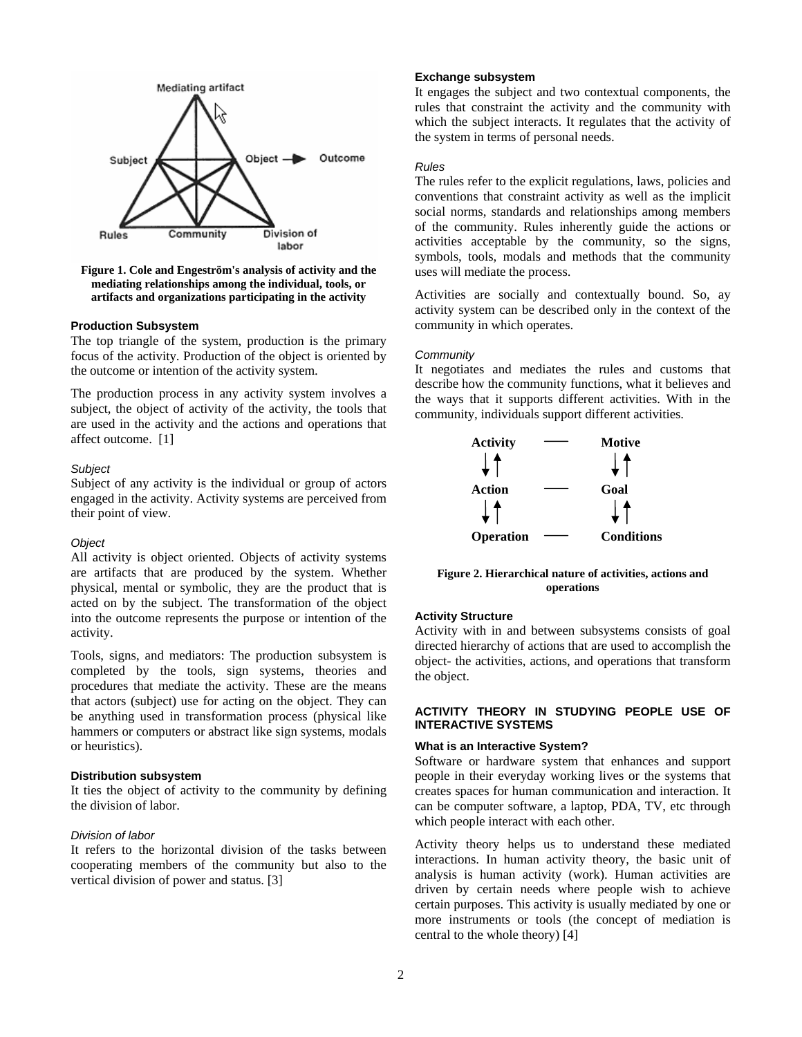

**Figure 1. Cole and Engeström's analysis of activity and the mediating relationships among the individual, tools, or artifacts and organizations participating in the activity** 

#### **Production Subsystem**

The top triangle of the system, production is the primary focus of the activity. Production of the object is oriented by the outcome or intention of the activity system.

The production process in any activity system involves a subject, the object of activity of the activity, the tools that are used in the activity and the actions and operations that affect outcome. [1]

## *Subject*

Subject of any activity is the individual or group of actors engaged in the activity. Activity systems are perceived from their point of view.

#### *Object*

All activity is object oriented. Objects of activity systems are artifacts that are produced by the system. Whether physical, mental or symbolic, they are the product that is acted on by the subject. The transformation of the object into the outcome represents the purpose or intention of the activity.

Tools, signs, and mediators: The production subsystem is completed by the tools, sign systems, theories and procedures that mediate the activity. These are the means that actors (subject) use for acting on the object. They can be anything used in transformation process (physical like hammers or computers or abstract like sign systems, modals or heuristics).

#### **Distribution subsystem**

It ties the object of activity to the community by defining the division of labor.

## *Division of labor*

It refers to the horizontal division of the tasks between cooperating members of the community but also to the vertical division of power and status. [3]

#### **Exchange subsystem**

It engages the subject and two contextual components, the rules that constraint the activity and the community with which the subject interacts. It regulates that the activity of the system in terms of personal needs.

## *Rules*

The rules refer to the explicit regulations, laws, policies and conventions that constraint activity as well as the implicit social norms, standards and relationships among members of the community. Rules inherently guide the actions or activities acceptable by the community, so the signs, symbols, tools, modals and methods that the community uses will mediate the process.

Activities are socially and contextually bound. So, ay activity system can be described only in the context of the community in which operates.

### *Community*

It negotiates and mediates the rules and customs that describe how the community functions, what it believes and the ways that it supports different activities. With in the community, individuals support different activities.



**Figure 2. Hierarchical nature of activities, actions and operations** 

## **Activity Structure**

Activity with in and between subsystems consists of goal directed hierarchy of actions that are used to accomplish the object- the activities, actions, and operations that transform the object.

## **ACTIVITY THEORY IN STUDYING PEOPLE USE OF INTERACTIVE SYSTEMS**

#### **What is an Interactive System?**

Software or hardware system that enhances and support people in their everyday working lives or the systems that creates spaces for human communication and interaction. It can be computer software, a laptop, PDA, TV, etc through which people interact with each other.

Activity theory helps us to understand these mediated interactions. In human activity theory, the basic unit of analysis is human activity (work). Human activities are driven by certain needs where people wish to achieve certain purposes. This activity is usually mediated by one or more instruments or tools (the concept of mediation is central to the whole theory) [4]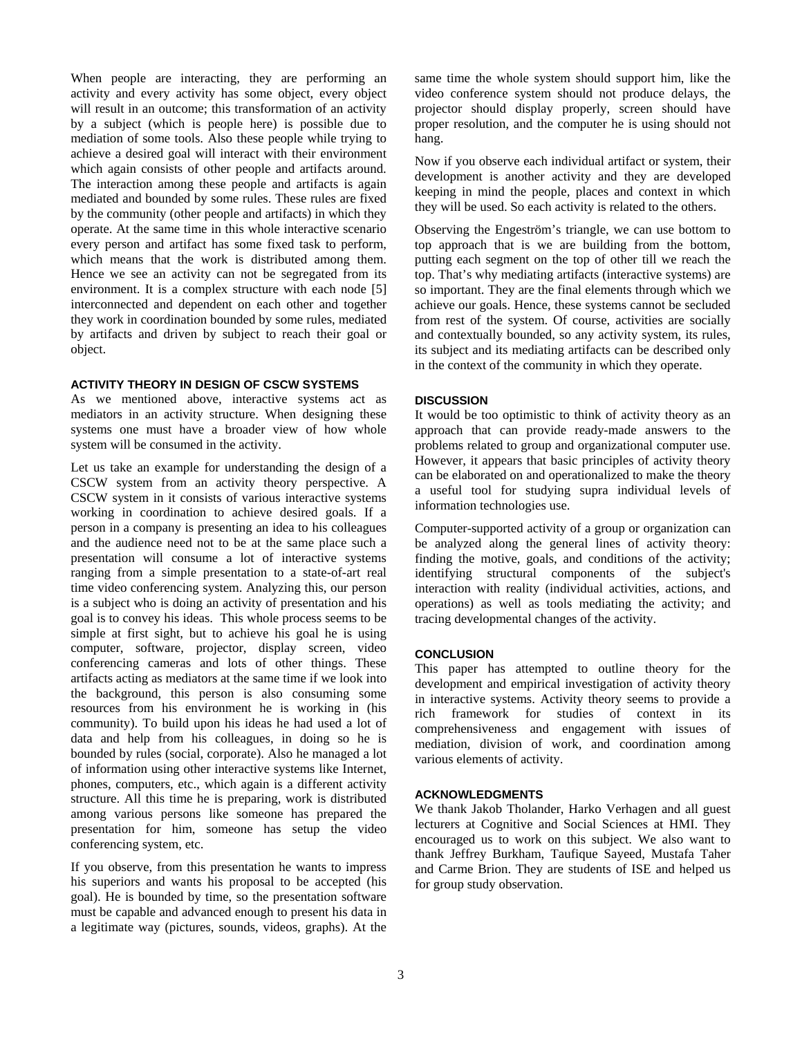When people are interacting, they are performing an activity and every activity has some object, every object will result in an outcome; this transformation of an activity by a subject (which is people here) is possible due to mediation of some tools. Also these people while trying to achieve a desired goal will interact with their environment which again consists of other people and artifacts around. The interaction among these people and artifacts is again mediated and bounded by some rules. These rules are fixed by the community (other people and artifacts) in which they operate. At the same time in this whole interactive scenario every person and artifact has some fixed task to perform, which means that the work is distributed among them. Hence we see an activity can not be segregated from its environment. It is a complex structure with each node [5] interconnected and dependent on each other and together they work in coordination bounded by some rules, mediated by artifacts and driven by subject to reach their goal or object.

## **ACTIVITY THEORY IN DESIGN OF CSCW SYSTEMS**

As we mentioned above, interactive systems act as mediators in an activity structure. When designing these systems one must have a broader view of how whole system will be consumed in the activity.

Let us take an example for understanding the design of a CSCW system from an activity theory perspective. A CSCW system in it consists of various interactive systems working in coordination to achieve desired goals. If a person in a company is presenting an idea to his colleagues and the audience need not to be at the same place such a presentation will consume a lot of interactive systems ranging from a simple presentation to a state-of-art real time video conferencing system. Analyzing this, our person is a subject who is doing an activity of presentation and his goal is to convey his ideas. This whole process seems to be simple at first sight, but to achieve his goal he is using computer, software, projector, display screen, video conferencing cameras and lots of other things. These artifacts acting as mediators at the same time if we look into the background, this person is also consuming some resources from his environment he is working in (his community). To build upon his ideas he had used a lot of data and help from his colleagues, in doing so he is bounded by rules (social, corporate). Also he managed a lot of information using other interactive systems like Internet, phones, computers, etc., which again is a different activity structure. All this time he is preparing, work is distributed among various persons like someone has prepared the presentation for him, someone has setup the video conferencing system, etc.

If you observe, from this presentation he wants to impress his superiors and wants his proposal to be accepted (his goal). He is bounded by time, so the presentation software must be capable and advanced enough to present his data in a legitimate way (pictures, sounds, videos, graphs). At the

same time the whole system should support him, like the video conference system should not produce delays, the projector should display properly, screen should have proper resolution, and the computer he is using should not hang.

Now if you observe each individual artifact or system, their development is another activity and they are developed keeping in mind the people, places and context in which they will be used. So each activity is related to the others.

Observing the Engeström's triangle, we can use bottom to top approach that is we are building from the bottom, putting each segment on the top of other till we reach the top. That's why mediating artifacts (interactive systems) are so important. They are the final elements through which we achieve our goals. Hence, these systems cannot be secluded from rest of the system. Of course, activities are socially and contextually bounded, so any activity system, its rules, its subject and its mediating artifacts can be described only in the context of the community in which they operate.

## **DISCUSSION**

It would be too optimistic to think of activity theory as an approach that can provide ready-made answers to the problems related to group and organizational computer use. However, it appears that basic principles of activity theory can be elaborated on and operationalized to make the theory a useful tool for studying supra individual levels of information technologies use.

Computer-supported activity of a group or organization can be analyzed along the general lines of activity theory: finding the motive, goals, and conditions of the activity; identifying structural components of the subject's interaction with reality (individual activities, actions, and operations) as well as tools mediating the activity; and tracing developmental changes of the activity.

## **CONCLUSION**

This paper has attempted to outline theory for the development and empirical investigation of activity theory in interactive systems. Activity theory seems to provide a rich framework for studies of context in its comprehensiveness and engagement with issues of mediation, division of work, and coordination among various elements of activity.

## **ACKNOWLEDGMENTS**

We thank Jakob Tholander, Harko Verhagen and all guest lecturers at Cognitive and Social Sciences at HMI. They encouraged us to work on this subject. We also want to thank Jeffrey Burkham, Taufique Sayeed, Mustafa Taher and Carme Brion. They are students of ISE and helped us for group study observation.